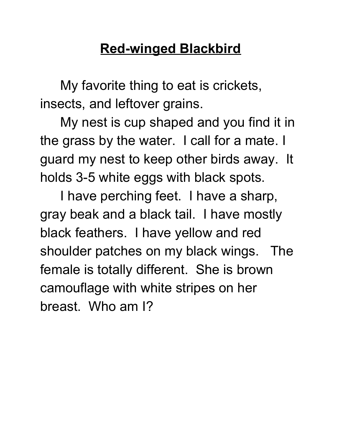## **Red-winged Blackbird**

My favorite thing to eat is crickets, insects, and leftover grains.

My nest is cup shaped and you find it in the grass by the water. I call for a mate. I guard my nest to keep other birds away. It holds 3-5 white eggs with black spots.

I have perching feet. I have a sharp, gray beak and a black tail. I have mostly black feathers. I have yellow and red shoulder patches on my black wings. The female is totally different. She is brown camouflage with white stripes on her breast. Who am I?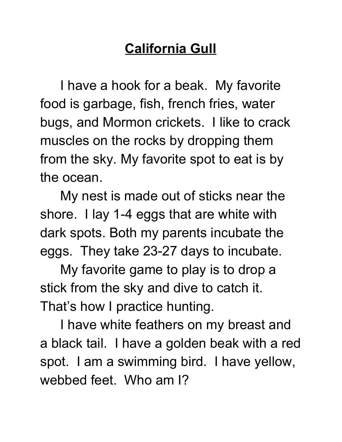## **California Gull**

I have a hook for a beak. My favorite food is garbage, fish, french fries, water bugs, and Mormon crickets. I like to crack muscles on the rocks by dropping them from the sky. My favorite spot to eat is by the ocean.

My nest is made out of sticks near the shore. I lay 1-4 eggs that are white with dark spots. Both my parents incubate the eggs. They take 23-27 days to incubate.

My favorite game to play is to drop a stick from the sky and dive to catch it. That's how I practice hunting.

I have white feathers on my breast and a black tail. I have a golden beak with a red spot. I am a swimming bird. I have yellow, webbed feet. Who am I?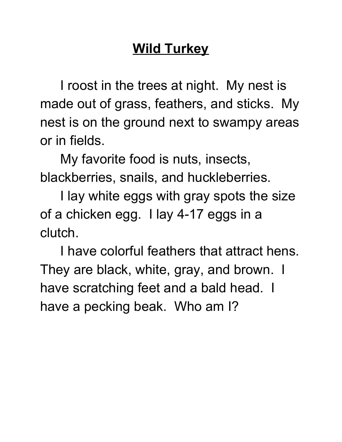## **Wild Turkey**

I roost in the trees at night. My nest is made out of grass, feathers, and sticks. My nest is on the ground next to swampy areas or in fields.

My favorite food is nuts, insects, blackberries, snails, and huckleberries.

I lay white eggs with gray spots the size of a chicken egg. I lay 4-17 eggs in a clutch.

I have colorful feathers that attract hens. They are black, white, gray, and brown. I have scratching feet and a bald head. I have a pecking beak. Who am I?